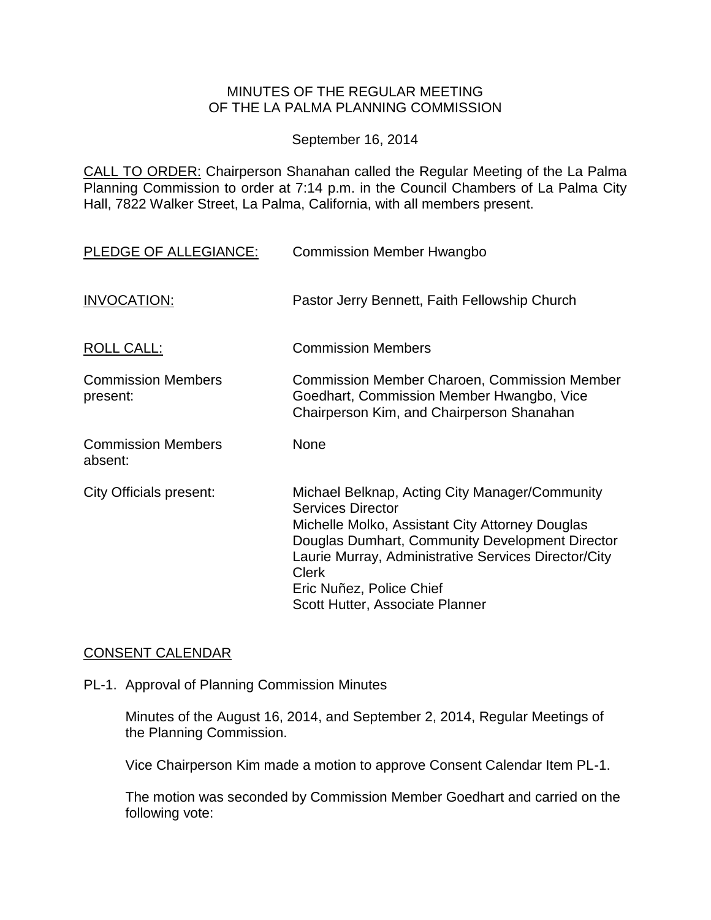# MINUTES OF THE REGULAR MEETING OF THE LA PALMA PLANNING COMMISSION

September 16, 2014

CALL TO ORDER: Chairperson [Shanahan called the Regular Meeting of the La Palma](http://lapalma.granicus.com/MediaPlayer.php?view_id=&clip_id=854&meta_id=113297)  Planning Commission to order at 7:14 [p.m. in the Council Chambers of La Palma City](http://lapalma.granicus.com/MediaPlayer.php?view_id=&clip_id=854&meta_id=113297)  [Hall, 7822 Walker Street, La Palma, California, with all members present.](http://lapalma.granicus.com/MediaPlayer.php?view_id=&clip_id=854&meta_id=113297)

| PLEDGE OF ALLEGIANCE:                 | <b>Commission Member Hwangbo</b>                                                                                                                                                                                                                                                                                        |
|---------------------------------------|-------------------------------------------------------------------------------------------------------------------------------------------------------------------------------------------------------------------------------------------------------------------------------------------------------------------------|
| INVOCATION:                           | Pastor Jerry Bennett, Faith Fellowship Church                                                                                                                                                                                                                                                                           |
| <b>ROLL CALL:</b>                     | <b>Commission Members</b>                                                                                                                                                                                                                                                                                               |
| <b>Commission Members</b><br>present: | <b>Commission Member Charoen, Commission Member</b><br>Goedhart, Commission Member Hwangbo, Vice<br>Chairperson Kim, and Chairperson Shanahan                                                                                                                                                                           |
| <b>Commission Members</b><br>absent:  | <b>None</b>                                                                                                                                                                                                                                                                                                             |
| City Officials present:               | Michael Belknap, Acting City Manager/Community<br><b>Services Director</b><br>Michelle Molko, Assistant City Attorney Douglas<br>Douglas Dumhart, Community Development Director<br>Laurie Murray, Administrative Services Director/City<br><b>Clerk</b><br>Eric Nuñez, Police Chief<br>Scott Hutter, Associate Planner |

#### [CONSENT CALENDAR](http://lapalma.granicus.com/MediaPlayer.php?view_id=&clip_id=854&meta_id=113314)

PL-1. Approval of Planning Commission Minutes

Minutes of the August 16, 2014, and September 2, 2014, Regular Meetings of the Planning Commission.

Vice Chairperson Kim made a motion to approve Consent Calendar Item PL-1.

The motion was seconded by Commission Member Goedhart and carried on the following vote: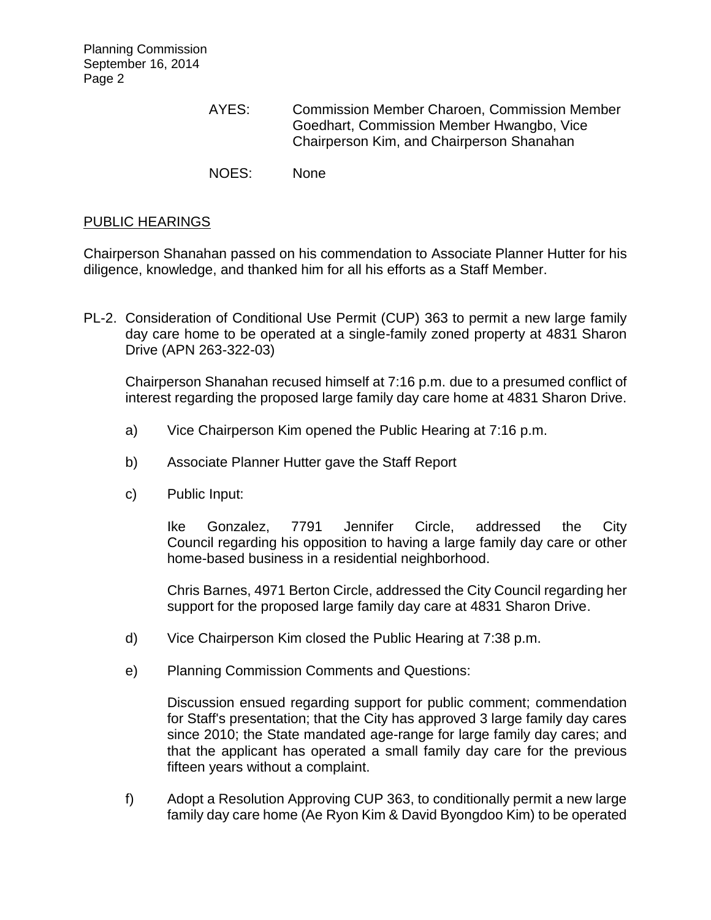Planning Commission September 16, 2014 Page 2

- AYES: Commission Member Charoen, Commission Member Goedhart, Commission Member Hwangbo, Vice Chairperson Kim, and Chairperson Shanahan
- NOES: None

### [PUBLIC HEARINGS](http://lapalma.granicus.com/MediaPlayer.php?view_id=&clip_id=854&meta_id=113316)

Chairperson Shanahan passed on his commendation to Associate Planner Hutter for his diligence, knowledge, and thanked him for all his efforts as a Staff Member.

PL-2. [Consideration of Conditional Use Permit \(CUP\)](http://lapalma.granicus.com/MediaPlayer.php?view_id=&clip_id=854&meta_id=113317) 363 to permit a new large family [day care home to be operated at a single-family zoned property at 4831 Sharon](http://lapalma.granicus.com/MediaPlayer.php?view_id=&clip_id=854&meta_id=113317)  [Drive \(APN 263-322-03\)](http://lapalma.granicus.com/MediaPlayer.php?view_id=&clip_id=854&meta_id=113317)

Chairperson Shanahan recused himself at 7:16 p.m. due to a presumed conflict of interest regarding the proposed large family day care home at 4831 Sharon Drive.

- a) [Vice Chairperson Kim opened the](http://lapalma.granicus.com/MediaPlayer.php?view_id=&clip_id=854&meta_id=113318) Public Hearing at 7:16 p.m.
- b) [Associate Planner Hutter gave the Staff Report](http://lapalma.granicus.com/MediaPlayer.php?view_id=&clip_id=854&meta_id=113319)
- c) [Public Input:](http://lapalma.granicus.com/MediaPlayer.php?view_id=&clip_id=854&meta_id=113320)

Ike Gonzalez, 7791 Jennifer Circle, addressed the City Council regarding his opposition to having a large family day care or other home-based business in a residential neighborhood.

Chris Barnes, 4971 Berton Circle, addressed the City Council regarding her support for the proposed large family day care at 4831 Sharon Drive.

- d) [Vice Chairperson Kim closed the](http://lapalma.granicus.com/MediaPlayer.php?view_id=&clip_id=854&meta_id=113321) Public Hearing at 7:38 p.m.
- e) [Planning Commission Comments and Questions:](http://lapalma.granicus.com/MediaPlayer.php?view_id=&clip_id=854&meta_id=113322)

Discussion ensued regarding support for public comment; commendation for Staff's presentation; that the City has approved 3 large family day cares since 2010; the State mandated age-range for large family day cares; and that the applicant has operated a small family day care for the previous fifteen years without a complaint.

f) [Adopt a Resolution Approving CUP 363, to conditionally permit a new large](http://lapalma.granicus.com/MediaPlayer.php?view_id=&clip_id=854&meta_id=113323)  [family day care home \(Ae Ryon Kim & David Byongdoo Kim\) to be operated](http://lapalma.granicus.com/MediaPlayer.php?view_id=&clip_id=854&meta_id=113323)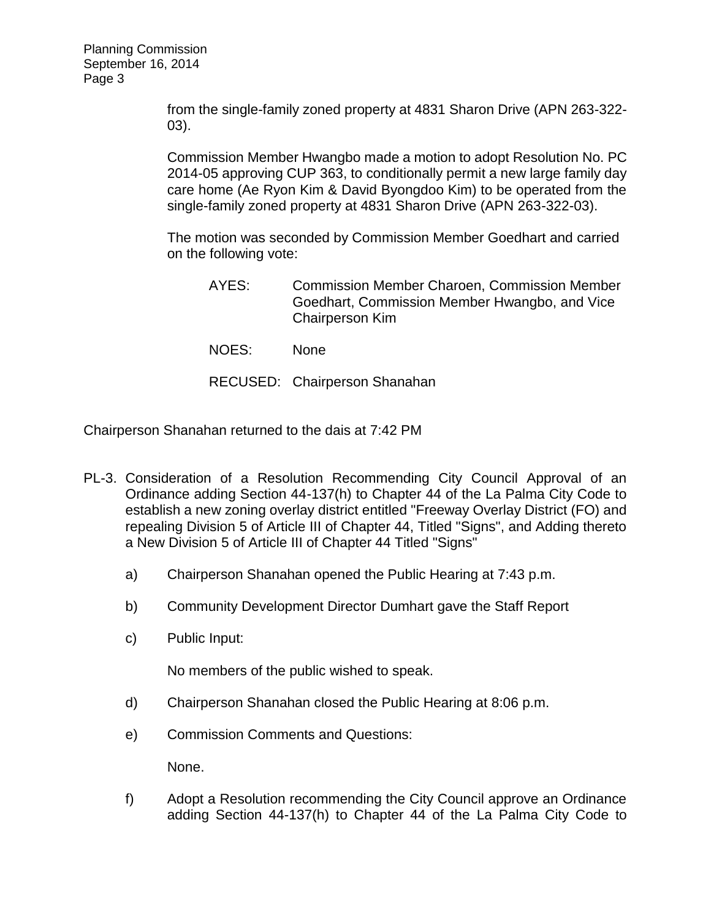[from the single-family zoned property at 4831 Sharon Drive \(APN 263-322-](http://lapalma.granicus.com/MediaPlayer.php?view_id=&clip_id=854&meta_id=113323) [03\).](http://lapalma.granicus.com/MediaPlayer.php?view_id=&clip_id=854&meta_id=113323)

Commission Member Hwangbo made a motion to adopt Resolution No. PC 2014-05 approving CUP 363, to conditionally permit a new large family day care home (Ae Ryon Kim & David Byongdoo Kim) to be operated from the single-family zoned property at 4831 Sharon Drive (APN 263-322-03).

The motion was seconded by Commission Member Goedhart and carried on the following vote:

- AYES: Commission Member Charoen, Commission Member Goedhart, Commission Member Hwangbo, and Vice Chairperson Kim
- NOES: None

RECUSED: Chairperson Shanahan

Chairperson Shanahan returned to the dais at 7:42 PM

- PL-3. [Consideration of a Resolution Recommending City Council Approval of an](http://lapalma.granicus.com/MediaPlayer.php?view_id=&clip_id=854&meta_id=113324)  [Ordinance adding Section 44-137\(h\) to Chapter 44 of the La Palma City Code to](http://lapalma.granicus.com/MediaPlayer.php?view_id=&clip_id=854&meta_id=113324)  [establish a new zoning overlay district entitled "Freeway Overlay District \(FO\) and](http://lapalma.granicus.com/MediaPlayer.php?view_id=&clip_id=854&meta_id=113324)  [repealing Division 5 of Article III of Chapter 44, Titled "Signs", and Adding thereto](http://lapalma.granicus.com/MediaPlayer.php?view_id=&clip_id=854&meta_id=113324)  [a New Division 5 of Article III of Chapter 44 Titled "Signs"](http://lapalma.granicus.com/MediaPlayer.php?view_id=&clip_id=854&meta_id=113324)
	- a) [Chairperson Shanahan opened the Public Hearing at 7:43 p.m.](http://lapalma.granicus.com/MediaPlayer.php?view_id=&clip_id=854&meta_id=113325)
	- b) [Community Development Director Dumhart gave the Staff Report](http://lapalma.granicus.com/MediaPlayer.php?view_id=&clip_id=854&meta_id=113326)
	- c) [Public Input:](http://lapalma.granicus.com/MediaPlayer.php?view_id=&clip_id=854&meta_id=113327)

No members of the public wished to speak.

- d) [Chairperson Shanahan closed the Public Hearing at 8:06 p.m.](http://lapalma.granicus.com/MediaPlayer.php?view_id=&clip_id=854&meta_id=113328)
- e) [Commission Comments and Questions:](http://lapalma.granicus.com/MediaPlayer.php?view_id=&clip_id=854&meta_id=113329)

None.

f) [Adopt a Resolution recommending the City Council approve an Ordinance](http://lapalma.granicus.com/MediaPlayer.php?view_id=&clip_id=854&meta_id=113330)  [adding Section 44-137\(h\) to Chapter 44 of the](http://lapalma.granicus.com/MediaPlayer.php?view_id=&clip_id=854&meta_id=113330) La Palma City Code to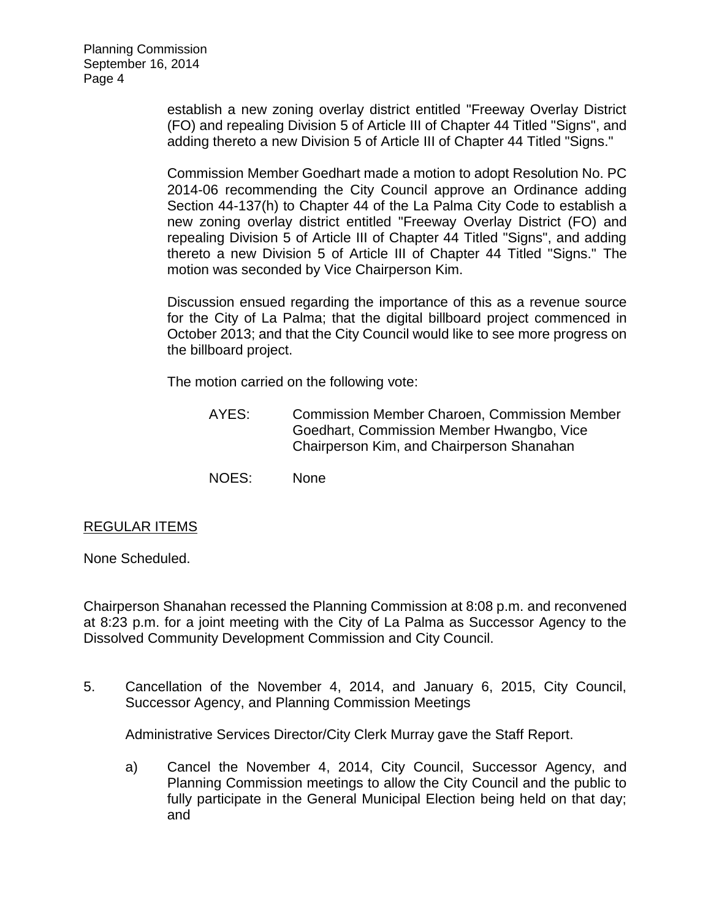[establish a new zoning overlay district entitled "Freeway Overlay District](http://lapalma.granicus.com/MediaPlayer.php?view_id=&clip_id=854&meta_id=113330)  [\(FO\) and repealing Division 5 of Article III of Chapter 44 Titled "Signs", and](http://lapalma.granicus.com/MediaPlayer.php?view_id=&clip_id=854&meta_id=113330)  [adding thereto a new Division 5 of Article III of Chapter 44 Titled "Signs."](http://lapalma.granicus.com/MediaPlayer.php?view_id=&clip_id=854&meta_id=113330)

Commission Member Goedhart made a motion to adopt Resolution No. PC 2014-06 recommending the City Council approve an Ordinance adding Section 44-137(h) to Chapter 44 of the La Palma City Code to establish a new zoning overlay district entitled "Freeway Overlay District (FO) and repealing Division 5 of Article III of Chapter 44 Titled "Signs", and adding thereto a new Division 5 of Article III of Chapter 44 Titled "Signs." The motion was seconded by Vice Chairperson Kim.

Discussion ensued regarding the importance of this as a revenue source for the City of La Palma; that the digital billboard project commenced in October 2013; and that the City Council would like to see more progress on the billboard project.

The motion carried on the following vote:

- AYES: Commission Member Charoen, Commission Member Goedhart, Commission Member Hwangbo, Vice Chairperson Kim, and Chairperson Shanahan
- NOES: None

# REGULAR ITEMS

None Scheduled.

Chairperson Shanahan recessed the Planning Commission at 8:08 p.m. and reconvened at 8:23 p.m. for a joint meeting with the City of La Palma as Successor Agency to the Dissolved Community Development Commission and City Council.

5. [Cancellation of the November 4, 2014, and January 6, 2015, City Council,](http://lapalma.granicus.com/MediaPlayer.php?view_id=&clip_id=854&meta_id=113351)  [Successor Agency, and Planning Commission Meetings](http://lapalma.granicus.com/MediaPlayer.php?view_id=&clip_id=854&meta_id=113351)

Administrative Services Director/City Clerk Murray gave the Staff Report.

a) Cancel the November 4, 2014, City Council, Successor Agency, and Planning Commission meetings to allow the City Council and the public to fully participate in the General Municipal Election being held on that day; and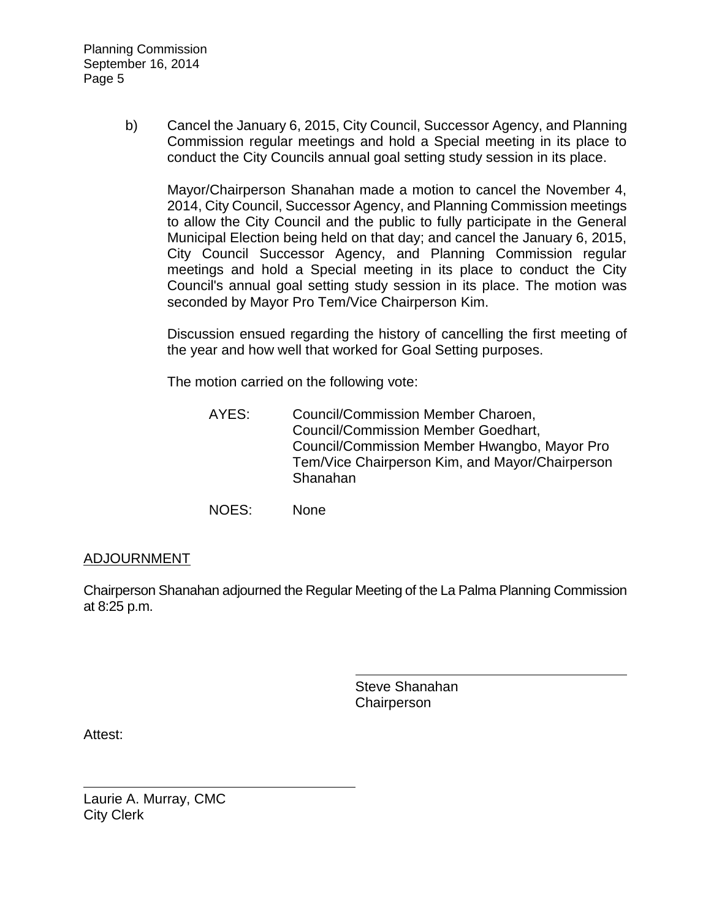Planning Commission September 16, 2014 Page 5

> b) Cancel the January 6, 2015, City Council, Successor Agency, and Planning Commission regular meetings and hold a Special meeting in its place to conduct the City Councils annual goal setting study session in its place.

Mayor/Chairperson Shanahan made a motion to cancel the November 4, 2014, City Council, Successor Agency, and Planning Commission meetings to allow the City Council and the public to fully participate in the General Municipal Election being held on that day; and cancel the January 6, 2015, City Council Successor Agency, and Planning Commission regular meetings and hold a Special meeting in its place to conduct the City Council's annual goal setting study session in its place. The motion was seconded by Mayor Pro Tem/Vice Chairperson Kim.

Discussion ensued regarding the history of cancelling the first meeting of the year and how well that worked for Goal Setting purposes.

The motion carried on the following vote:

- AYES: Council/Commission Member Charoen, Council/Commission Member Goedhart, Council/Commission Member Hwangbo, Mayor Pro Tem/Vice Chairperson Kim, and Mayor/Chairperson Shanahan
- NOES: None

# [ADJOURNMENT](http://lapalma.granicus.com/MediaPlayer.php?view_id=&clip_id=854&meta_id=113381)

Chairperson Shanahan adjourned the Regular Meeting of the La Palma Planning Commission at 8:25 p.m.

> Steve Shanahan **Chairperson**

Attest:

Laurie A. Murray, CMC City Clerk